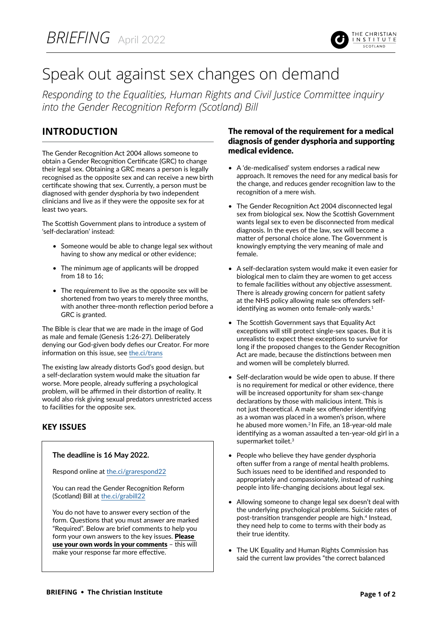

# Speak out against sex changes on demand

*Responding to the Equalities, Human Rights and Civil Justice Committee inquiry into the Gender Recognition Reform (Scotland) Bill*

## **INTRODUCTION**

The Gender Recognition Act 2004 allows someone to obtain a Gender Recognition Certificate (GRC) to change their legal sex. Obtaining a GRC means a person is legally recognised as the opposite sex and can receive a new birth certificate showing that sex. Currently, a person must be diagnosed with gender dysphoria by two independent clinicians and live as if they were the opposite sex for at least two years.

The Scottish Government plans to introduce a system of 'self-declaration' instead:

- Someone would be able to change legal sex without having to show any medical or other evidence;
- The minimum age of applicants will be dropped from 18 to 16;
- The requirement to live as the opposite sex will be shortened from two years to merely three months, with another three-month reflection period before a GRC is granted.

The Bible is clear that we are made in the image of God as male and female (Genesis 1:26-27). Deliberately denying our God-given body defies our Creator. For more information on this issue, see [the.ci/trans](https://www.christian.org.uk/issue/transsexualism/)

The existing law already distorts God's good design, but a self-declaration system would make the situation far worse. More people, already suffering a psychological problem, will be affirmed in their distortion of reality. It would also risk giving sexual predators unrestricted access to facilities for the opposite sex.

### **KEY ISSUES**

#### **The deadline is 16 May 2022.**

Respond online at [the.ci/grarespond22](https://yourviews.parliament.scot/ehrcj/1e24dbb1/consultation/intro/)

You can read the Gender Recognition Reform (Scotland) Bill at [the.ci/grabill22](https://www.parliament.scot/-/media/files/legislation/bills/s6-bills/gender-recognition-reform-scotland-bill/introduced/bill-as-introduced.pdf)

You do not have to answer every section of the form. Questions that you must answer are marked "Required". Below are brief comments to help you form your own answers to the key issues. Please use your own words in your comments – this will make your response far more effective.

#### The removal of the requirement for a medical diagnosis of gender dysphoria and supporting medical evidence.

- A 'de-medicalised' system endorses a radical new approach. It removes the need for any medical basis for the change, and reduces gender recognition law to the recognition of a mere wish.
- The Gender Recognition Act 2004 disconnected legal sex from biological sex. Now the Scottish Government wants legal sex to even be disconnected from medical diagnosis. In the eyes of the law, sex will become a matter of personal choice alone. The Government is knowingly emptying the very meaning of male and female.
- A self-declaration system would make it even easier for biological men to claim they are women to get access to female facilities without any objective assessment. There is already growing concern for patient safety at the NHS policy allowing male sex offenders selfidentifying as women onto female-only wards.<sup>1</sup>
- The Scottish Government says that Equality Act exceptions will still protect single-sex spaces. But it is unrealistic to expect these exceptions to survive for long if the proposed changes to the Gender Recognition Act are made, because the distinctions between men and women will be completely blurred.
- Self-declaration would be wide open to abuse. If there is no requirement for medical or other evidence, there will be increased opportunity for sham sex-change declarations by those with malicious intent. This is not just theoretical. A male sex offender identifying as a woman was placed in a women's prison, where he abused more women.<sup>2</sup> In Fife, an 18-year-old male identifying as a woman assaulted a ten-year-old girl in a supermarket toilet.<sup>3</sup>
- People who believe they have gender dysphoria often suffer from a range of mental health problems. Such issues need to be identified and responded to appropriately and compassionately, instead of rushing people into life-changing decisions about legal sex.
- Allowing someone to change legal sex doesn't deal with the underlying psychological problems. Suicide rates of post-transition transgender people are high.4 Instead, they need help to come to terms with their body as their true identity.
- The UK Equality and Human Rights Commission has said the current law provides "the correct balanced